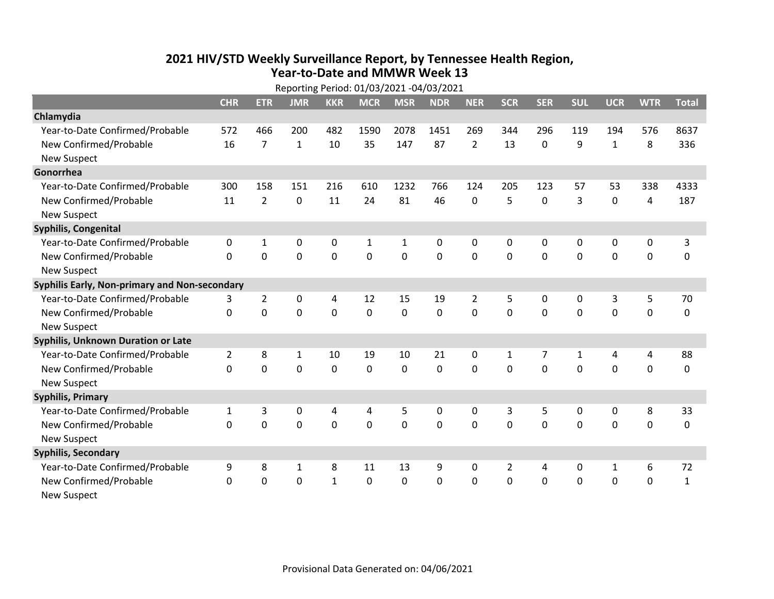## **2021 HIV /STD Weekly Surveillance Report, by Tennessee Health Region, Year‐to‐Date and MMWR Week 13** Reporting Period: 01/03/2021 ‐04/03/2021

| Reporting Period: 01/03/2021 -04/03/2021      |                |                |                |              |              |              |            |                |              |              |              |              |             |              |
|-----------------------------------------------|----------------|----------------|----------------|--------------|--------------|--------------|------------|----------------|--------------|--------------|--------------|--------------|-------------|--------------|
|                                               | <b>CHR</b>     | <b>ETR</b>     | <b>JMR</b>     | <b>KKR</b>   | <b>MCR</b>   | <b>MSR</b>   | <b>NDR</b> | <b>NER</b>     | <b>SCR</b>   | <b>SER</b>   | <b>SUL</b>   | <b>UCR</b>   | <b>WTR</b>  | <b>Total</b> |
| Chlamydia                                     |                |                |                |              |              |              |            |                |              |              |              |              |             |              |
| Year-to-Date Confirmed/Probable               | 572            | 466            | 200            | 482          | 1590         | 2078         | 1451       | 269            | 344          | 296          | 119          | 194          | 576         | 8637         |
| New Confirmed/Probable                        | 16             | $\overline{7}$ | $\mathbf{1}$   | 10           | 35           | 147          | 87         | $\overline{2}$ | 13           | $\mathbf 0$  | 9            | $\mathbf{1}$ | 8           | 336          |
| <b>New Suspect</b>                            |                |                |                |              |              |              |            |                |              |              |              |              |             |              |
| Gonorrhea                                     |                |                |                |              |              |              |            |                |              |              |              |              |             |              |
| Year-to-Date Confirmed/Probable               | 300            | 158            | 151            | 216          | 610          | 1232         | 766        | 124            | 205          | 123          | 57           | 53           | 338         | 4333         |
| New Confirmed/Probable                        | 11             | $\overline{2}$ | 0              | 11           | 24           | 81           | 46         | 0              | 5            | $\mathbf 0$  | 3            | $\mathbf 0$  | 4           | 187          |
| <b>New Suspect</b>                            |                |                |                |              |              |              |            |                |              |              |              |              |             |              |
| Syphilis, Congenital                          |                |                |                |              |              |              |            |                |              |              |              |              |             |              |
| Year-to-Date Confirmed/Probable               | 0              | $\mathbf{1}$   | 0              | 0            | $\mathbf{1}$ | $\mathbf{1}$ | 0          | $\mathbf 0$    | $\Omega$     | $\mathbf 0$  | 0            | 0            | $\pmb{0}$   | 3            |
| New Confirmed/Probable                        | $\Omega$       | $\mathbf 0$    | $\overline{0}$ | 0            | $\mathbf 0$  | $\mathbf 0$  | 0          | $\Omega$       | $\Omega$     | $\mathbf 0$  | $\mathbf 0$  | $\mathbf 0$  | $\mathbf 0$ | $\mathbf 0$  |
| <b>New Suspect</b>                            |                |                |                |              |              |              |            |                |              |              |              |              |             |              |
| Syphilis Early, Non-primary and Non-secondary |                |                |                |              |              |              |            |                |              |              |              |              |             |              |
| Year-to-Date Confirmed/Probable               | 3              | $\overline{2}$ | 0              | 4            | 12           | 15           | 19         | $\overline{2}$ | 5            | 0            | 0            | 3            | 5           | 70           |
| New Confirmed/Probable                        | $\Omega$       | $\mathbf 0$    | 0              | 0            | $\mathbf 0$  | 0            | 0          | $\Omega$       | $\Omega$     | $\mathbf 0$  | 0            | $\mathbf 0$  | $\mathbf 0$ | 0            |
| <b>New Suspect</b>                            |                |                |                |              |              |              |            |                |              |              |              |              |             |              |
| <b>Syphilis, Unknown Duration or Late</b>     |                |                |                |              |              |              |            |                |              |              |              |              |             |              |
| Year-to-Date Confirmed/Probable               | $\overline{2}$ | 8              | $\mathbf{1}$   | 10           | 19           | 10           | 21         | 0              | $\mathbf{1}$ | 7            | 1            | 4            | 4           | 88           |
| New Confirmed/Probable                        | $\Omega$       | $\Omega$       | $\Omega$       | $\Omega$     | $\mathbf 0$  | $\Omega$     | $\Omega$   | $\Omega$       | $\Omega$     | $\mathbf{0}$ | 0            | $\Omega$     | $\mathbf 0$ | 0            |
| <b>New Suspect</b>                            |                |                |                |              |              |              |            |                |              |              |              |              |             |              |
| <b>Syphilis, Primary</b>                      |                |                |                |              |              |              |            |                |              |              |              |              |             |              |
| Year-to-Date Confirmed/Probable               | 1              | 3              | 0              | 4            | 4            | 5            | 0          | $\mathbf{0}$   | 3            | 5            | 0            | 0            | 8           | 33           |
| New Confirmed/Probable                        | 0              | $\overline{0}$ | $\overline{0}$ | 0            | $\mathbf 0$  | $\mathbf 0$  | 0          | $\Omega$       | $\Omega$     | $\mathbf{0}$ | 0            | $\mathbf 0$  | $\mathbf 0$ | 0            |
| <b>New Suspect</b>                            |                |                |                |              |              |              |            |                |              |              |              |              |             |              |
| <b>Syphilis, Secondary</b>                    |                |                |                |              |              |              |            |                |              |              |              |              |             |              |
| Year-to-Date Confirmed/Probable               | 9              | 8              | 1              | 8            | 11           | 13           | 9          | $\mathbf{0}$   | 2            | 4            | $\mathbf{0}$ | $\mathbf{1}$ | 6           | 72           |
| New Confirmed/Probable                        | $\Omega$       | $\mathbf 0$    | 0              | $\mathbf{1}$ | $\mathbf 0$  | $\mathbf 0$  | $\Omega$   | $\Omega$       | $\Omega$     | $\mathbf 0$  | $\mathbf 0$  | $\mathbf 0$  | $\mathbf 0$ | $\mathbf 1$  |
| New Suspect                                   |                |                |                |              |              |              |            |                |              |              |              |              |             |              |